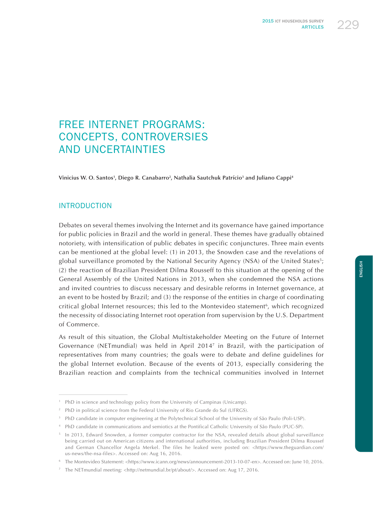

# FREE INTERNET PROGRAMS: CONCEPTS, CONTROVERSIES AND UNCERTAINTIES

**Vinicius W. O. Santos1 , Diego R. Canabarro2 , Nathalia Sautchuk Patrício3 and Juliano Cappi4**

## INTRODUCTION

Debates on several themes involving the Internet and its governance have gained importance for public policies in Brazil and the world in general. These themes have gradually obtained notoriety, with intensification of public debates in specific conjunctures. Three main events can be mentioned at the global level: (1) in 2013, the Snowden case and the revelations of global surveillance promoted by the National Security Agency (NSA) of the United States<sup>5</sup>; (2) the reaction of Brazilian President Dilma Rousseff to this situation at the opening of the General Assembly of the United Nations in 2013, when she condemned the NSA actions and invited countries to discuss necessary and desirable reforms in Internet governance, at an event to be hosted by Brazil; and (3) the response of the entities in charge of coordinating critical global Internet resources; this led to the Montevideo statement<sup>6</sup>, which recognized the necessity of dissociating Internet root operation from supervision by the U.S. Department of Commerce.

As result of this situation, the Global Multistakeholder Meeting on the Future of Internet Governance (NETmundial) was held in April 20147 in Brazil, with the participation of representatives from many countries; the goals were to debate and define guidelines for the global Internet evolution. Because of the events of 2013, especially considering the Brazilian reaction and complaints from the technical communities involved in Internet

<sup>&</sup>lt;sup>1</sup> PhD in science and technology policy from the University of Campinas (Unicamp).

<sup>&</sup>lt;sup>2</sup> PhD in political science from the Federal University of Rio Grande do Sul (UFRGS).

<sup>&</sup>lt;sup>3</sup> PhD candidate in computer engineering at the Polytechnical School of the University of São Paulo (Poli-USP).

<sup>4</sup> PhD candidate in communications and semiotics at the Pontifical Catholic University of São Paulo (PUC-SP).

<sup>&</sup>lt;sup>5</sup> In 2013, Edward Snowden, a former computer contractor for the NSA, revealed details about global surveillance being carried out on American citizens and international authorities, including Brazilian President Dilma Roussef and German Chancellor Angela Merkel. The files he leaked were posted on: <https://www.theguardian.com/ us-news/the-nsa-files>. Accessed on: Aug 16, 2016.

<sup>6</sup> The Montevideo Statement: <https://www.icann.org/news/announcement-2013-10-07-en>. Accessed on: June 10, 2016.

<sup>7</sup> The NETmundial meeting: <http://netmundial.br/pt/about/>. Accessed on: Aug 17, 2016.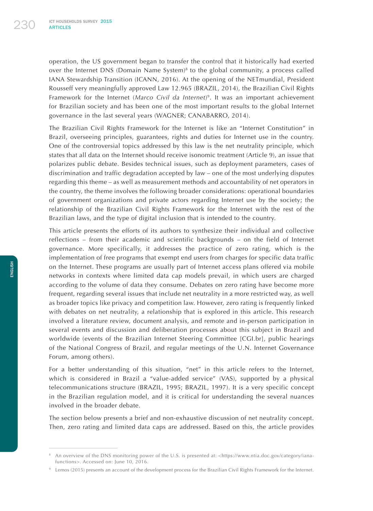operation, the US government began to transfer the control that it historically had exerted over the Internet DNS (Domain Name System) $\delta$  to the global community, a process called IANA Stewardship Transition (ICANN, 2016). At the opening of the NETmundial, President Rousseff very meaningfully approved Law 12.965 (BRAZIL, 2014), the Brazilian Civil Rights Framework for the Internet (*Marco Civil da Internet*) 9. It was an important achievement for Brazilian society and has been one of the most important results to the global Internet governance in the last several years (WAGNER; CANABARRO, 2014).

The Brazilian Civil Rights Framework for the Internet is like an "Internet Constitution" in Brazil, overseeing principles, guarantees, rights and duties for Internet use in the country. One of the controversial topics addressed by this law is the net neutrality principle, which states that all data on the Internet should receive isonomic treatment (Article 9), an issue that polarizes public debate. Besides technical issues, such as deployment parameters, cases of discrimination and traffic degradation accepted by law – one of the most underlying disputes regarding this theme – as well as measurement methods and accountability of net operators in the country, the theme involves the following broader considerations: operational boundaries of government organizations and private actors regarding Internet use by the society; the relationship of the Brazilian Civil Rights Framework for the Internet with the rest of the Brazilian laws, and the type of digital inclusion that is intended to the country.

This article presents the efforts of its authors to synthesize their individual and collective reflections – from their academic and scientific backgrounds – on the field of Internet governance. More specifically, it addresses the practice of zero rating, which is the implementation of free programs that exempt end users from charges for specific data traffic on the Internet. These programs are usually part of Internet access plans offered via mobile networks in contexts where limited data cap models prevail, in which users are charged according to the volume of data they consume. Debates on zero rating have become more frequent, regarding several issues that include net neutrality in a more restricted way, as well as broader topics like privacy and competition law. However, zero rating is frequently linked with debates on net neutrality, a relationship that is explored in this article. This research involved a literature review, document analysis, and remote and in-person participation in several events and discussion and deliberation processes about this subject in Brazil and worldwide (events of the Brazilian Internet Steering Committee [CGI.br], public hearings of the National Congress of Brazil, and regular meetings of the U.N. Internet Governance Forum, among others).

For a better understanding of this situation, "net" in this article refers to the Internet, which is considered in Brazil a "value-added service" (VAS), supported by a physical telecommunications structure (BRAZIL, 1995; BRAZIL, 1997). It is a very specific concept in the Brazilian regulation model, and it is critical for understanding the several nuances involved in the broader debate.

The section below presents a brief and non-exhaustive discussion of net neutrality concept. Then, zero rating and limited data caps are addressed. Based on this, the article provides

<sup>8</sup> An overview of the DNS monitoring power of the U.S. is presented at: <https://www.ntia.doc.gov/category/ianafunctions>. Accessed on: June 10, 2016.

<sup>9</sup> Lemos (2015) presents an account of the development process for the Brazilian Civil Rights Framework for the Internet.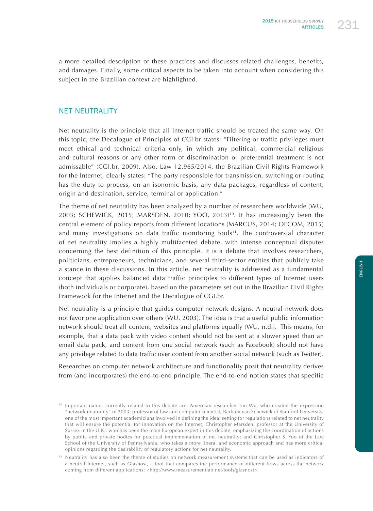a more detailed description of these practices and discusses related challenges, benefits, and damages. Finally, some critical aspects to be taken into account when considering this subject in the Brazilian context are highlighted.

## NET NEUTRALITY

Net neutrality is the principle that all Internet traffic should be treated the same way. On this topic, the Decalogue of Principles of CGI.br states: "Filtering or traffic privileges must meet ethical and technical criteria only, in which any political, commercial religious and cultural reasons or any other form of discrimination or preferential treatment is not admissable" (CGI.br, 2009). Also, Law 12.965/2014, the Brazilian Civil Rights Framework for the Internet, clearly states: "The party responsible for transmission, switching or routing has the duty to process, on an isonomic basis, any data packages, regardless of content, origin and destination, service, terminal or application."

The theme of net neutrality has been analyzed by a number of researchers worldwide (WU, 2003; SCHEWICK, 2015; MARSDEN, 2010; YOO, 2013)<sup>10</sup>. It has increasingly been the central element of policy reports from different locations (MARCUS, 2014; OFCOM, 2015) and many investigations on data traffic monitoring tools<sup>11</sup>. The controversial character of net neutrality implies a highly multifaceted debate, with intense conceptual disputes concerning the best definition of this principle. It is a debate that involves researchers, politicians, entrepreneurs, technicians, and several third-sector entities that publicly take a stance in these discussions. In this article, net neutrality is addressed as a fundamental concept that applies balanced data traffic principles to different types of Internet users (both individuals or corporate), based on the parameters set out in the Brazilian Civil Rights Framework for the Internet and the Decalogue of CGI.br.

Net neutrality is a principle that guides computer network designs. A neutral network does not favor one application over others (WU, 2003). The idea is that a useful public information network should treat all content, websites and platforms equally (WU, n.d.). This means, for example, that a data pack with video content should not be sent at a slower speed than an email data pack, and content from one social network (such as Facebook) should not have any privilege related to data traffic over content from another social network (such as Twitter).

Researches on computer network architecture and functionality posit that neutrality derives from (and incorporates) the end-to-end principle. The end-to-end notion states that specific

<sup>&</sup>lt;sup>10</sup> Important names currently related to this debate are: American researcher Tim Wu, who created the expression "network neutrality" in 2003; professor of law and computer scientist; Barbara van Schewick of Stanford University, one of the most important academicians involved in defining the ideal setting for regulations related to net neutrality that will ensure the potential for innovation on the Internet; Christopher Marsden, professor at the University of Sussex in the U.K., who has been the main European expert in this debate, emphasizing the coordination of actions by public and private bodies for practical implementation of net neutrality; and Christopher S. Yoo of the Law School of the University of Pennsylvania, who takes a more liberal and economic approach and has more critical opinions regarding the desirability of regulatory actions for net neutrality.

<sup>11</sup> Neutrality has also been the theme of studies on network measurement systems that can be used as indicators of a neutral Internet, such as Glasnost, a tool that compares the performance of different flows across the network coming from different applications: <http://www.measurementlab.net/tools/glasnost>.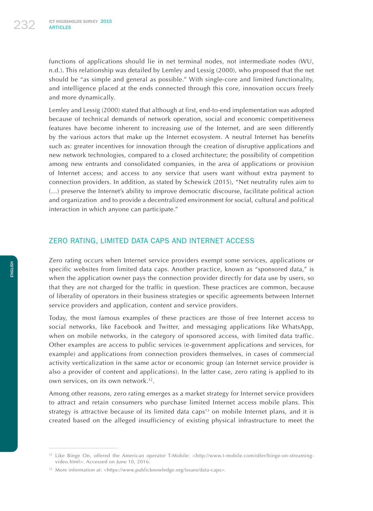functions of applications should lie in net terminal nodes, not intermediate nodes (WU, n.d.). This relationship was detailed by Lemley and Lessig (2000), who proposed that the net should be "as simple and general as possible." With single-core and limited functionality, and intelligence placed at the ends connected through this core, innovation occurs freely and more dynamically.

Lemley and Lessig (2000) stated that although at first, end-to-end implementation was adopted because of technical demands of network operation, social and economic competitiveness features have become inherent to increasing use of the Internet, and are seen differently by the various actors that make up the Internet ecosystem. A neutral Internet has benefits such as: greater incentives for innovation through the creation of disruptive applications and new network technologies, compared to a closed architecture; the possibility of competition among new entrants and consolidated companies, in the area of applications or provision of Internet access; and access to any service that users want without extra payment to connection providers. In addition, as stated by Schewick (2015), "Net neutrality rules aim to (…) preserve the Internet's ability to improve democratic discourse, facilitate political action and organization and to provide a decentralized environment for social, cultural and political interaction in which anyone can participate."

## ZERO RATING, LIMITED DATA CAPS AND INTERNET ACCESS

Zero rating occurs when Internet service providers exempt some services, applications or specific websites from limited data caps. Another practice, known as "sponsored data," is when the application owner pays the connection provider directly for data use by users, so that they are not charged for the traffic in question. These practices are common, because of liberality of operators in their business strategies or specific agreements between Internet service providers and application, content and service providers.

Today, the most famous examples of these practices are those of free Internet access to social networks, like Facebook and Twitter, and messaging applications like WhatsApp, when on mobile networks, in the category of sponsored access, with limited data traffic. Other examples are access to public services (e-government applications and services, for example) and applications from connection providers themselves, in cases of commercial activity verticalization in the same actor or economic group (an Internet service provider is also a provider of content and applications). In the latter case, zero rating is applied to its own services, on its own network.<sup>12</sup>.

Among other reasons, zero rating emerges as a market strategy for Internet service providers to attract and retain consumers who purchase limited Internet access mobile plans. This strategy is attractive because of its limited data caps<sup>13</sup> on mobile Internet plans, and it is created based on the alleged insufficiency of existing physical infrastructure to meet the

<sup>&</sup>lt;sup>12</sup> Like Binge On, offered the American operator T-Mobile: <http://www.t-mobile.com/offer/binge-on-streamingvideo.html>. Accessed on June 10, 2016.

<sup>&</sup>lt;sup>13</sup> More information at: <https://www.publicknowledge.org/issues/data-caps>.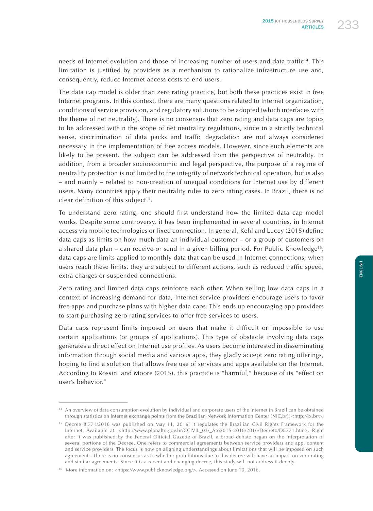needs of Internet evolution and those of increasing number of users and data traffic<sup>14</sup>. This limitation is justified by providers as a mechanism to rationalize infrastructure use and, consequently, reduce Internet access costs to end users.

The data cap model is older than zero rating practice, but both these practices exist in free Internet programs. In this context, there are many questions related to Internet organization, conditions of service provision, and regulatory solutions to be adopted (which interfaces with the theme of net neutrality). There is no consensus that zero rating and data caps are topics to be addressed within the scope of net neutrality regulations, since in a strictly technical sense, discrimination of data packs and traffic degradation are not always considered necessary in the implementation of free access models. However, since such elements are likely to be present, the subject can be addressed from the perspective of neutrality. In addition, from a broader socioeconomic and legal perspective, the purpose of a regime of neutrality protection is not limited to the integrity of network technical operation, but is also – and mainly – related to non-creation of unequal conditions for Internet use by different users. Many countries apply their neutrality rules to zero rating cases. In Brazil, there is no clear definition of this subject<sup>15</sup>.

To understand zero rating, one should first understand how the limited data cap model works. Despite some controversy, it has been implemented in several countries, in Internet access via mobile technologies or fixed connection. In general, Kehl and Lucey (2015) define data caps as limits on how much data an individual customer – or a group of customers on a shared data plan – can receive or send in a given billing period. For Public Knowledge16, data caps are limits applied to monthly data that can be used in Internet connections; when users reach these limits, they are subject to different actions, such as reduced traffic speed, extra charges or suspended connections.

Zero rating and limited data caps reinforce each other. When selling low data caps in a context of increasing demand for data, Internet service providers encourage users to favor free apps and purchase plans with higher data caps. This ends up encouraging app providers to start purchasing zero rating services to offer free services to users.

Data caps represent limits imposed on users that make it difficult or impossible to use certain applications (or groups of applications). This type of obstacle involving data caps generates a direct effect on Internet use profiles. As users become interested in disseminating information through social media and various apps, they gladly accept zero rating offerings, hoping to find a solution that allows free use of services and apps available on the Internet. According to Rossini and Moore (2015), this practice is "harmful," because of its "effect on user's behavior."

<sup>&</sup>lt;sup>14</sup> An overview of data consumption evolution by individual and corporate users of the Internet in Brazil can be obtained through statistics on Internet exchange points from the Brazilian Network Information Center (NIC.br): <http://ix.br/>.

<sup>&</sup>lt;sup>15</sup> Decree 8.771/2016 was published on May 11, 2016; it regulates the Brazilian Civil Rights Framework for the Internet. Available at: <http://www.planalto.gov.br/CCIVIL\_03/\_Ato2015-2018/2016/Decreto/D8771.htm>. Right after it was published by the Federal Official Gazette of Brazil, a broad debate began on the interpretation of several portions of the Decree. One refers to commercial agreements between service providers and app, content and service providers. The focus is now on aligning understandings about limitations that will be imposed on such agreements. There is no consensus as to whether prohibitions due to this decree will have an impact on zero rating and similar agreements. Since it is a recent and changing decree, this study will not address it deeply.

<sup>&</sup>lt;sup>16</sup> More information on: <https://www.publicknowledge.org/>. Accessed on June 10, 2016.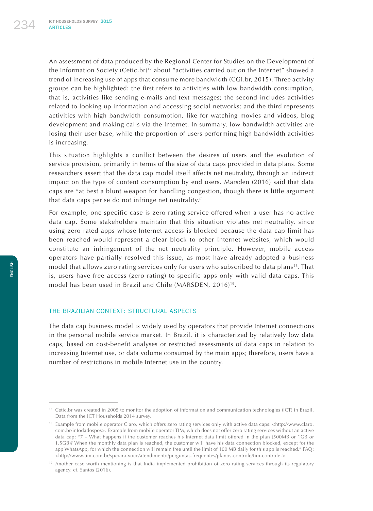An assessment of data produced by the Regional Center for Studies on the Development of the Information Society (Cetic.br)<sup>17</sup> about "activities carried out on the Internet" showed a trend of increasing use of apps that consume more bandwidth (CGI.br, 2015). Three activity groups can be highlighted: the first refers to activities with low bandwidth consumption, that is, activities like sending e-mails and text messages; the second includes activities related to looking up information and accessing social networks; and the third represents activities with high bandwidth consumption, like for watching movies and videos, blog development and making calls via the Internet. In summary, low bandwidth activities are losing their user base, while the proportion of users performing high bandwidth activities is increasing.

This situation highlights a conflict between the desires of users and the evolution of service provision, primarily in terms of the size of data caps provided in data plans. Some researchers assert that the data cap model itself affects net neutrality, through an indirect impact on the type of content consumption by end users. Marsden (2016) said that data caps are "at best a blunt weapon for handling congestion, though there is little argument that data caps per se do not infringe net neutrality."

For example, one specific case is zero rating service offered when a user has no active data cap. Some stakeholders maintain that this situation violates net neutrality, since using zero rated apps whose Internet access is blocked because the data cap limit has been reached would represent a clear block to other Internet websites, which would constitute an infringement of the net neutrality principle. However, mobile access operators have partially resolved this issue, as most have already adopted a business model that allows zero rating services only for users who subscribed to data plans18. That is, users have free access (zero rating) to specific apps only with valid data caps. This model has been used in Brazil and Chile (MARSDEN, 2016)19.

#### THE BRAZILIAN CONTEXT: STRUCTURAL ASPECTS

The data cap business model is widely used by operators that provide Internet connections in the personal mobile service market. In Brazil, it is characterized by relatively low data caps, based on cost-benefit analyses or restricted assessments of data caps in relation to increasing Internet use, or data volume consumed by the main apps; therefore, users have a number of restrictions in mobile Internet use in the country.

<sup>&</sup>lt;sup>17</sup> Cetic.br was created in 2005 to monitor the adoption of information and communication technologies (ICT) in Brazil. Data from the ICT Households 2014 survey.

<sup>18</sup> Example from mobile operator Claro, which offers zero rating services only with active data caps: <http://www.claro. com.br/infodadospos>. Example from mobile operator TIM, which does not offer zero rating services without an active data cap: "7 – What happens if the customer reaches his Internet data limit offered in the plan (500MB or 1GB or 1.5GB)? When the monthly data plan is reached, the customer will have his data connection blocked, except for the app WhatsApp, for which the connection will remain free until the limit of 100 MB daily for this app is reached." FAQ: <http://www.tim.com.br/sp/para-voce/atendimento/perguntas-frequentes/planos-controle/tim-controle->.

<sup>19</sup> Another case worth mentioning is that India implemented prohibition of zero rating services through its regulatory agency. cf. Santos (2016).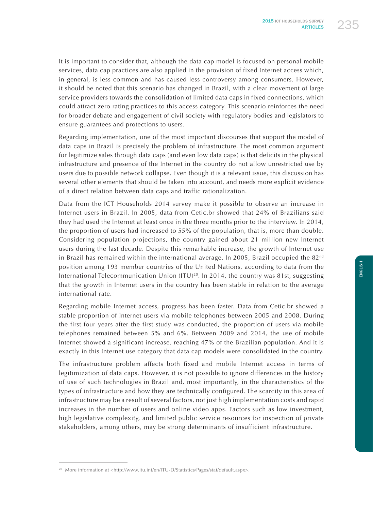It is important to consider that, although the data cap model is focused on personal mobile services, data cap practices are also applied in the provision of fixed Internet access which, in general, is less common and has caused less controversy among consumers. However, it should be noted that this scenario has changed in Brazil, with a clear movement of large service providers towards the consolidation of limited data caps in fixed connections, which could attract zero rating practices to this access category. This scenario reinforces the need for broader debate and engagement of civil society with regulatory bodies and legislators to ensure guarantees and protections to users.

Regarding implementation, one of the most important discourses that support the model of data caps in Brazil is precisely the problem of infrastructure. The most common argument for legitimize sales through data caps (and even low data caps) is that deficits in the physical infrastructure and presence of the Internet in the country do not allow unrestricted use by users due to possible network collapse. Even though it is a relevant issue, this discussion has several other elements that should be taken into account, and needs more explicit evidence of a direct relation between data caps and traffic rationalization.

Data from the ICT Households 2014 survey make it possible to observe an increase in Internet users in Brazil. In 2005, data from Cetic.br showed that 24% of Brazilians said they had used the Internet at least once in the three months prior to the interview. In 2014, the proportion of users had increased to 55% of the population, that is, more than double. Considering population projections, the country gained about 21 million new Internet users during the last decade. Despite this remarkable increase, the growth of Internet use in Brazil has remained within the international average. In 2005, Brazil occupied the  $82^{nd}$ position among 193 member countries of the United Nations, according to data from the International Telecommunication Union (ITU)20. In 2014, the country was 81st, suggesting that the growth in Internet users in the country has been stable in relation to the average international rate.

Regarding mobile Internet access, progress has been faster. Data from Cetic.br showed a stable proportion of Internet users via mobile telephones between 2005 and 2008. During the first four years after the first study was conducted, the proportion of users via mobile telephones remained between 5% and 6%. Between 2009 and 2014, the use of mobile Internet showed a significant increase, reaching 47% of the Brazilian population. And it is exactly in this Internet use category that data cap models were consolidated in the country.

The infrastructure problem affects both fixed and mobile Internet access in terms of legitimization of data caps. However, it is not possible to ignore differences in the history of use of such technologies in Brazil and, most importantly, in the characteristics of the types of infrastructure and how they are technically configured. The scarcity in this area of infrastructure may be a result of several factors, not just high implementation costs and rapid increases in the number of users and online video apps. Factors such as low investment, high legislative complexity, and limited public service resources for inspection of private stakeholders, among others, may be strong determinants of insufficient infrastructure.

<sup>&</sup>lt;sup>20</sup> More information at <http://www.itu.int/en/ITU-D/Statistics/Pages/stat/default.aspx>.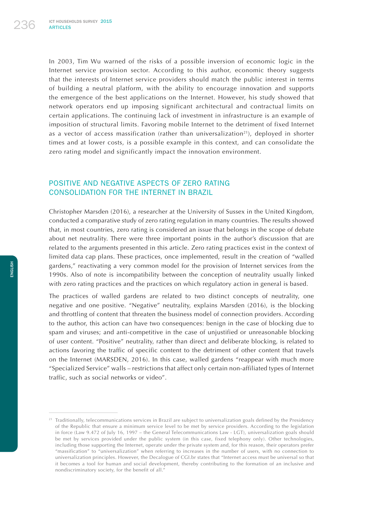In 2003, Tim Wu warned of the risks of a possible inversion of economic logic in the Internet service provision sector. According to this author, economic theory suggests that the interests of Internet service providers should match the public interest in terms of building a neutral platform, with the ability to encourage innovation and supports the emergence of the best applications on the Internet. However, his study showed that network operators end up imposing significant architectural and contractual limits on certain applications. The continuing lack of investment in infrastructure is an example of imposition of structural limits. Favoring mobile Internet to the detriment of fixed Internet as a vector of access massification (rather than universalization<sup>21</sup>), deployed in shorter times and at lower costs, is a possible example in this context, and can consolidate the zero rating model and significantly impact the innovation environment.

# POSITIVE AND NEGATIVE ASPECTS OF ZERO RATING CONSOLIDATION FOR THE INTERNET IN BRAZIL

Christopher Marsden (2016), a researcher at the University of Sussex in the United Kingdom, conducted a comparative study of zero rating regulation in many countries. The results showed that, in most countries, zero rating is considered an issue that belongs in the scope of debate about net neutrality. There were three important points in the author's discussion that are related to the arguments presented in this article. Zero rating practices exist in the context of limited data cap plans. These practices, once implemented, result in the creation of "walled gardens," reactivating a very common model for the provision of Internet services from the 1990s. Also of note is incompatibility between the conception of neutrality usually linked with zero rating practices and the practices on which regulatory action in general is based.

The practices of walled gardens are related to two distinct concepts of neutrality, one negative and one positive. "Negative" neutrality, explains Marsden (2016), is the blocking and throttling of content that threaten the business model of connection providers. According to the author, this action can have two consequences: benign in the case of blocking due to spam and viruses; and anti-competitive in the case of unjustified or unreasonable blocking of user content. "Positive" neutrality, rather than direct and deliberate blocking, is related to actions favoring the traffic of specific content to the detriment of other content that travels on the Internet (MARSDEN, 2016). In this case, walled gardens "reappear with much more "Specialized Service" walls – restrictions that affect only certain non-affiliated types of Internet traffic, such as social networks or video".

<sup>&</sup>lt;sup>21</sup> Traditionally, telecommunications services in Brazil are subject to universalization goals defined by the Presidency of the Republic that ensure a minimum service level to be met by service providers. According to the legislation in force (Law 9.472 of July 16, 1997 – the General Telecommunications Law - LGT), universalization goals should be met by services provided under the public system (in this case, fixed telephony only). Other technologies, including those supporting the Internet, operate under the private system and, for this reason, their operators prefer "massification" to "universalization" when referring to increases in the number of users, with no connection to universalization principles. However, the Decalogue of CGI.br states that "Internet access must be universal so that it becomes a tool for human and social development, thereby contributing to the formation of an inclusive and nondiscriminatory society, for the benefit of all."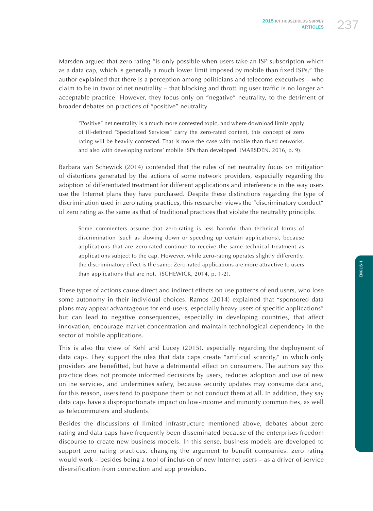Marsden argued that zero rating "is only possible when users take an ISP subscription which as a data cap, which is generally a much lower limit imposed by mobile than fixed ISPs," The author explained that there is a perception among politicians and telecoms executives – who claim to be in favor of net neutrality – that blocking and throttling user traffic is no longer an acceptable practice. However, they focus only on "negative" neutrality, to the detriment of broader debates on practices of "positive" neutrality.

"Positive" net neutrality is a much more contested topic, and where download limits apply of ill-defined "Specialized Services" carry the zero-rated content, this concept of zero rating will be heavily contested. That is more the case with mobile than fixed networks, and also with developing nations' mobile ISPs than developed. (MARSDEN, 2016, p. 9).

Barbara van Schewick (2014) contended that the rules of net neutrality focus on mitigation of distortions generated by the actions of some network providers, especially regarding the adoption of differentiated treatment for different applications and interference in the way users use the Internet plans they have purchased. Despite these distinctions regarding the type of discrimination used in zero rating practices, this researcher views the "discriminatory conduct" of zero rating as the same as that of traditional practices that violate the neutrality principle.

Some commenters assume that zero-rating is less harmful than technical forms of discrimination (such as slowing down or speeding up certain applications), because applications that are zero-rated continue to receive the same technical treatment as applications subject to the cap. However, while zero-rating operates slightly differently, the discriminatory effect is the same: Zero-rated applications are more attractive to users than applications that are not. (SCHEWICK, 2014, p. 1-2).

These types of actions cause direct and indirect effects on use patterns of end users, who lose some autonomy in their individual choices. Ramos (2014) explained that "sponsored data plans may appear advantageous for end-users, especially heavy users of specific applications" but can lead to negative consequences, especially in developing countries, that affect innovation, encourage market concentration and maintain technological dependency in the sector of mobile applications.

This is also the view of Kehl and Lucey (2015), especially regarding the deployment of data caps. They support the idea that data caps create "artificial scarcity," in which only providers are benefitted, but have a detrimental effect on consumers. The authors say this practice does not promote informed decisions by users, reduces adoption and use of new online services, and undermines safety, because security updates may consume data and, for this reason, users tend to postpone them or not conduct them at all. In addition, they say data caps have a disproportionate impact on low-income and minority communities, as well as telecommuters and students.

Besides the discussions of limited infrastructure mentioned above, debates about zero rating and data caps have frequently been disseminated because of the enterprises freedom discourse to create new business models. In this sense, business models are developed to support zero rating practices, changing the argument to benefit companies: zero rating would work – besides being a tool of inclusion of new Internet users – as a driver of service diversification from connection and app providers.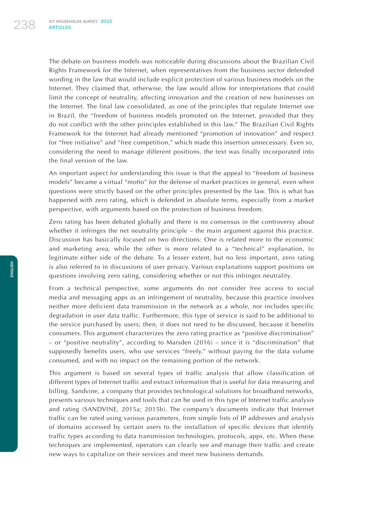The debate on business models was noticeable during discussions about the Brazilian Civil Rights Framework for the Internet, when representatives from the business sector defended wording in the law that would include explicit protection of various business models on the Internet. They claimed that, otherwise, the law would allow for interpretations that could limit the concept of neutrality, affecting innovation and the creation of new businesses on the Internet. The final law consolidated, as one of the principles that regulate Internet use in Brazil, the "freedom of business models promoted on the Internet, provided that they do not conflict with the other principles established in this law." The Brazilian Civil Rights Framework for the Internet had already mentioned "promotion of innovation" and respect for "free initiative" and "free competition," which made this insertion unnecessary. Even so, considering the need to manage different positions, the text was finally incorporated into the final version of the law.

An important aspect for understanding this issue is that the appeal to "freedom of business models" became a virtual "motto" for the defense of market practices in general, even when questions were strictly based on the other principles presented by the law. This is what has happened with zero rating, which is defended in absolute terms, especially from a market perspective, with arguments based on the protection of business freedom.

Zero rating has been debated globally and there is no consensus in the controversy about whether it infringes the net neutrality principle – the main argument against this practice. Discussion has basically focused on two directions: One is related more to the economic and marketing area, while the other is more related to a "technical" explanation, to legitimate either side of the debate. To a lesser extent, but no less important, zero rating is also referred to in discussions of user privacy. Various explanations support positions on questions involving zero rating, considering whether or not this infringes neutrality.

From a technical perspective, some arguments do not consider free access to social media and messaging apps as an infringement of neutrality, because this practice involves neither more deficient data transmission in the network as a whole, nor includes specific degradation in user data traffic. Furthermore, this type of service is said to be additional to the service purchased by users; then, it does not need to be discussed, because it benefits consumers. This argument characterizes the zero rating practice as "positive discrimination" – or "positive neutrality", according to Marsden (2016) – since it is "discrimination" that supposedly benefits users, who use services "freely," without paying for the data volume consumed, and with no impact on the remaining portion of the network.

This argument is based on several types of traffic analysis that allow classification of different types of Internet traffic and extract information that is useful for data measuring and billing. Sandvine, a company that provides technological solutions for broadband networks, presents various techniques and tools that can be used in this type of Internet traffic analysis and rating (SANDVINE, 2015a; 2015b). The company's documents indicate that Internet traffic can be rated using various parameters, from simple lists of IP addresses and analysis of domains accessed by certain users to the installation of specific devices that identify traffic types according to data transmission technologies, protocols, apps, etc. When these techniques are implemented, operators can clearly see and manage their traffic and create new ways to capitalize on their services and meet new business demands.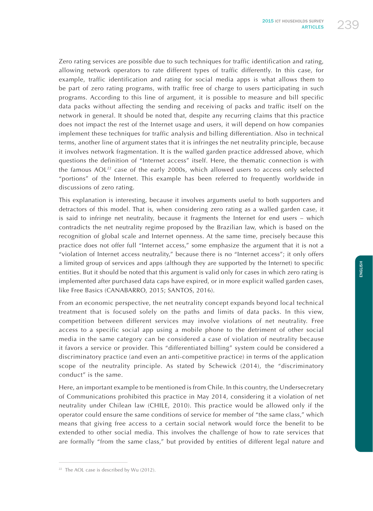Zero rating services are possible due to such techniques for traffic identification and rating, allowing network operators to rate different types of traffic differently. In this case, for example, traffic identification and rating for social media apps is what allows them to be part of zero rating programs, with traffic free of charge to users participating in such programs. According to this line of argument, it is possible to measure and bill specific data packs without affecting the sending and receiving of packs and traffic itself on the network in general. It should be noted that, despite any recurring claims that this practice does not impact the rest of the Internet usage and users, it will depend on how companies implement these techniques for traffic analysis and billing differentiation. Also in technical terms, another line of argument states that it is infringes the net neutrality principle, because it involves network fragmentation. It is the walled garden practice addressed above, which questions the definition of "Internet access" itself. Here, the thematic connection is with the famous AOL22 case of the early 2000s, which allowed users to access only selected "portions" of the Internet. This example has been referred to frequently worldwide in discussions of zero rating.

This explanation is interesting, because it involves arguments useful to both supporters and detractors of this model. That is, when considering zero rating as a walled garden case, it is said to infringe net neutrality, because it fragments the Internet for end users – which contradicts the net neutrality regime proposed by the Brazilian law, which is based on the recognition of global scale and Internet openness. At the same time, precisely because this practice does not offer full "Internet access," some emphasize the argument that it is not a "violation of Internet access neutrality," because there is no "Internet access"; it only offers a limited group of services and apps (although they are supported by the Internet) to specific entities. But it should be noted that this argument is valid only for cases in which zero rating is implemented after purchased data caps have expired, or in more explicit walled garden cases, like Free Basics (CANABARRO, 2015; SANTOS, 2016).

From an economic perspective, the net neutrality concept expands beyond local technical treatment that is focused solely on the paths and limits of data packs. In this view, competition between different services may involve violations of net neutrality. Free access to a specific social app using a mobile phone to the detriment of other social media in the same category can be considered a case of violation of neutrality because it favors a service or provider. This "differentiated billing" system could be considered a discriminatory practice (and even an anti-competitive practice) in terms of the application scope of the neutrality principle. As stated by Schewick (2014), the "discriminatory conduct" is the same.

Here, an important example to be mentioned is from Chile. In this country, the Undersecretary of Communications prohibited this practice in May 2014, considering it a violation of net neutrality under Chilean law (CHILE, 2010). This practice would be allowed only if the operator could ensure the same conditions of service for member of "the same class," which means that giving free access to a certain social network would force the benefit to be extended to other social media. This involves the challenge of how to rate services that are formally "from the same class," but provided by entities of different legal nature and

<sup>&</sup>lt;sup>22</sup> The AOL case is described by Wu (2012).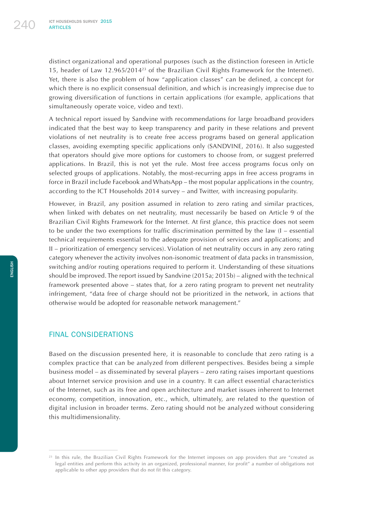distinct organizational and operational purposes (such as the distinction foreseen in Article 15, header of Law 12.965/201423 of the Brazilian Civil Rights Framework for the Internet). Yet, there is also the problem of how "application classes" can be defined, a concept for which there is no explicit consensual definition, and which is increasingly imprecise due to growing diversification of functions in certain applications (for example, applications that simultaneously operate voice, video and text).

A technical report issued by Sandvine with recommendations for large broadband providers indicated that the best way to keep transparency and parity in these relations and prevent violations of net neutrality is to create free access programs based on general application classes, avoiding exempting specific applications only (SANDVINE, 2016). It also suggested that operators should give more options for customers to choose from, or suggest preferred applications. In Brazil, this is not yet the rule. Most free access programs focus only on selected groups of applications. Notably, the most-recurring apps in free access programs in force in Brazil include Facebook and WhatsApp – the most popular applications in the country, according to the ICT Households 2014 survey – and Twitter, with increasing popularity.

However, in Brazil, any position assumed in relation to zero rating and similar practices, when linked with debates on net neutrality, must necessarily be based on Article 9 of the Brazilian Civil Rights Framework for the Internet. At first glance, this practice does not seem to be under the two exemptions for traffic discrimination permitted by the law (I – essential technical requirements essential to the adequate provision of services and applications; and II – prioritization of emergency services). Violation of net neutrality occurs in any zero rating category whenever the activity involves non-isonomic treatment of data packs in transmission, switching and/or routing operations required to perform it. Understanding of these situations should be improved. The report issued by Sandvine (2015a; 2015b) – aligned with the technical framework presented above – states that, for a zero rating program to prevent net neutrality infringement, "data free of charge should not be prioritized in the network, in actions that otherwise would be adopted for reasonable network management."

### FINAL CONSIDERATIONS

Based on the discussion presented here, it is reasonable to conclude that zero rating is a complex practice that can be analyzed from different perspectives. Besides being a simple business model – as disseminated by several players – zero rating raises important questions about Internet service provision and use in a country. It can affect essential characteristics of the Internet, such as its free and open architecture and market issues inherent to Internet economy, competition, innovation, etc., which, ultimately, are related to the question of digital inclusion in broader terms. Zero rating should not be analyzed without considering this multidimensionality.

<sup>&</sup>lt;sup>23</sup> In this rule, the Brazilian Civil Rights Framework for the Internet imposes on app providers that are "created as legal entities and perform this activity in an organized, professional manner, for profit" a number of obligations not applicable to other app providers that do not fit this category.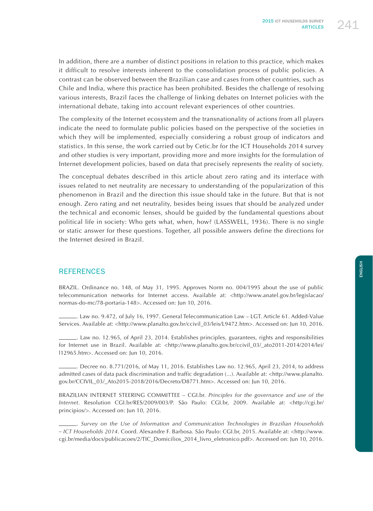In addition, there are a number of distinct positions in relation to this practice, which makes it difficult to resolve interests inherent to the consolidation process of public policies. A contrast can be observed between the Brazilian case and cases from other countries, such as Chile and India, where this practice has been prohibited. Besides the challenge of resolving various interests, Brazil faces the challenge of linking debates on Internet policies with the international debate, taking into account relevant experiences of other countries.

The complexity of the Internet ecosystem and the transnationality of actions from all players indicate the need to formulate public policies based on the perspective of the societies in which they will be implemented, especially considering a robust group of indicators and statistics. In this sense, the work carried out by Cetic.br for the ICT Households 2014 survey and other studies is very important, providing more and more insights for the formulation of Internet development policies, based on data that precisely represents the reality of society.

The conceptual debates described in this article about zero rating and its interface with issues related to net neutrality are necessary to understanding of the popularization of this phenomenon in Brazil and the direction this issue should take in the future. But that is not enough. Zero rating and net neutrality, besides being issues that should be analyzed under the technical and economic lenses, should be guided by the fundamental questions about political life in society: Who gets what, when, how? (LASSWELL, 1936). There is no single or static answer for these questions. Together, all possible answers define the directions for the Internet desired in Brazil.

## **REFERENCES**

BRAZIL. Ordinance no. 148, of May 31, 1995. Approves Norm no. 004/1995 about the use of public telecommunication networks for Internet access. Available at: <http://www.anatel.gov.br/legislacao/ normas-do-mc/78-portaria-148>. Accessed on: Jun 10, 2016.

. Law no. 9.472, of July 16, 1997. General Telecommunication Law – LGT. Article 61. Added-Value Services. Available at: <http://www.planalto.gov.br/ccivil\_03/leis/L9472.htm>. Accessed on: Jun 10, 2016.

. Law no. 12.965, of April 23, 2014. Establishes principles, guarantees, rights and responsibilities for Internet use in Brazil. Available at: <http://www.planalto.gov.br/ccivil\_03/\_ato2011-2014/2014/lei/ l12965.htm>. Accessed on: Jun 10, 2016.

. Decree no. 8.771/2016, of May 11, 2016. Establishes Law no. 12.965, April 23, 2014, to address admitted cases of data pack discrimination and traffic degradation (...). Available at: <http://www.planalto. gov.br/CCIVIL\_03/\_Ato2015-2018/2016/Decreto/D8771.htm>. Accessed on: Jun 10, 2016.

BRAZILIAN INTERNET STEERING COMMITTEE – CGI.br. *Principles for the governance and use of the Internet*. Resolution CGI.br/RES/2009/003/P. São Paulo: CGI.br, 2009. Available at: <http://cgi.br/ principios/>. Accessed on: Jun 10, 2016.

<sup>.</sup> *Survey on the Use of Information and Communication Technologies in Brazilian Households – ICT Households 2014*. Coord. Alexandre F. Barbosa. São Paulo: CGI.br, 2015. Available at: <http://www. cgi.br/media/docs/publicacoes/2/TIC\_Domicilios\_2014\_livro\_eletronico.pdf>. Accessed on: Jun 10, 2016.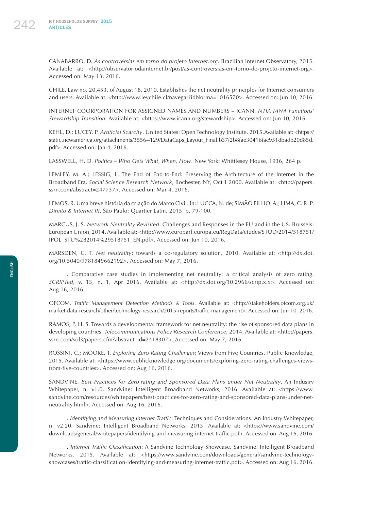CANABARRO, D. *As controvérsias em torno do projeto Internet.org*. Brazilian Internet Observatory, 2015. Available at: <http://observatoriodainternet.br/post/as-controversias-em-torno-do-projeto-internet-org>. Accessed on: May 13, 2016.

CHILE. Law no. 20.453, of August 18, 2010. Establishes the net neutrality principles for Internet consumers and users. Available at: <http://www.leychile.cl/navegar?idNorma=1016570>. Accessed on: Jun 10, 2016.

INTERNET COORPORATION FOR ASSIGNED NAMES AND NUMBERS – ICANN. *NTIA IANA Functions' Stewardship Transition*. Available at: <https://www.icann.org/stewardship>. Accessed on: Jun 10, 2016.

KEHL, D.; LUCEY, P. *Artificial Scarcity*. United States: Open Technology Institute, 2015.Available at: <https:// static.newamerica.org/attachments/3556--129/DataCaps\_Layout\_Final.b37f2b8fae30416fac951dbadb20d85d. pdf>. Accessed on: Jan 4, 2016.

LASSWELL, H. D. *Politics – Who Gets What, When, How*. New York: Whittlesey House, 1936, 264 p.

LEMLEY, M. A.; LESSIG, L. The End of End-to-End: Preserving the Architecture of the Internet in the Broadband Era. *Social Science Research Network*, Rochester, NY, Oct 1 2000. Available at: <http://papers. ssrn.com/abstract=247737>. Accessed on: Mar 4, 2016.

LEMOS, R. Uma breve história da criação do Marco Civil. In: LUCCA, N. de; SIMÃO FILHO. A.; LIMA, C. R. P. *Direito & Internet III*. São Paulo: Quartier Latin, 2015. p. 79-100.

MARCUS, J. S. *Network Neutrality Revisited*: Challenges and Responses in the EU and in the US. Brussels: European Union, 2014. Available at: <http://www.europarl.europa.eu/RegData/etudes/STUD/2014/518751/ IPOL\_STU%282014%29518751\_EN.pdf>. Accessed on: Jun 10, 2016.

MARSDEN, C. T. *Net neutrality*: towards a co-regulatory solution, 2010. Available at: <http://dx.doi. org/10.5040/9781849662192>. Accessed on: May 7, 2016.

. Comparative case studies in implementing net neutrality: a critical analysis of zero rating. *SCRIPTed*, v. 13, n. 1, Apr 2016. Available at: <http://dx.doi.org/10.2966/scrip.x.x>. Accessed on: Aug 16, 2016.

OFCOM. *Traffic Management Detection Methods & Tools*. Available at: <http://stakeholders.ofcom.org.uk/ market-data-research/other/technology-research/2015-reports/traffic-management>. Accessed on: Jun 10, 2016.

RAMOS, P. H. S. Towards a developmental framework for net neutrality: the rise of sponsored data plans in developing countries. *Telecommunications Policy Research Conference*, 2014. Available at: <http://papers. ssrn.com/sol3/papers.cfm?abstract\_id=2418307>. Accessed on: May 7, 2016.

ROSSINI, C.; MOORE, T. *Exploring Zero-Rating Challenges*: Views from Five Countries. Public Knowledge, 2015. Available at: <https://www.publicknowledge.org/documents/exploring-zero-rating-challenges-viewsfrom-five-countries>. Accessed on: Aug 16, 2016.

SANDVINE. Best Practices for Zero-rating and Sponsored Data Plans under Net Neutrality. An Industry Whitepaper, n. v1.0. Sandvine: Intelligent Broadband Networks, 2016. Available at: <https://www. sandvine.com/resources/whitepapers/best-practices-for-zero-rating-and-sponsored-data-plans-under-netneutrality.html>. Accessed on: Aug 16, 2016.

. *Identifying and Measuring Internet Traffic*: Techniques and Considerations. An Industry Whitepaper, n. v2.20. Sandvine: Intelligent Broadband Networks, 2015. Available at: <https://www.sandvine.com/ downloads/general/whitepapers/identifying-and-measuring-internet-traffic.pdf>. Accessed on: Aug 16, 2016.

. *Internet Traffic Classification*: A Sandvine Technology Showcase. Sandvine: Intelligent Broadband Networks, 2015. Available at: <https://www.sandvine.com/downloads/general/sandvine-technologyshowcases/traffic-classification-identifying-and-measuring-internet-traffic.pdf>. Accessed on: Aug 16, 2016.